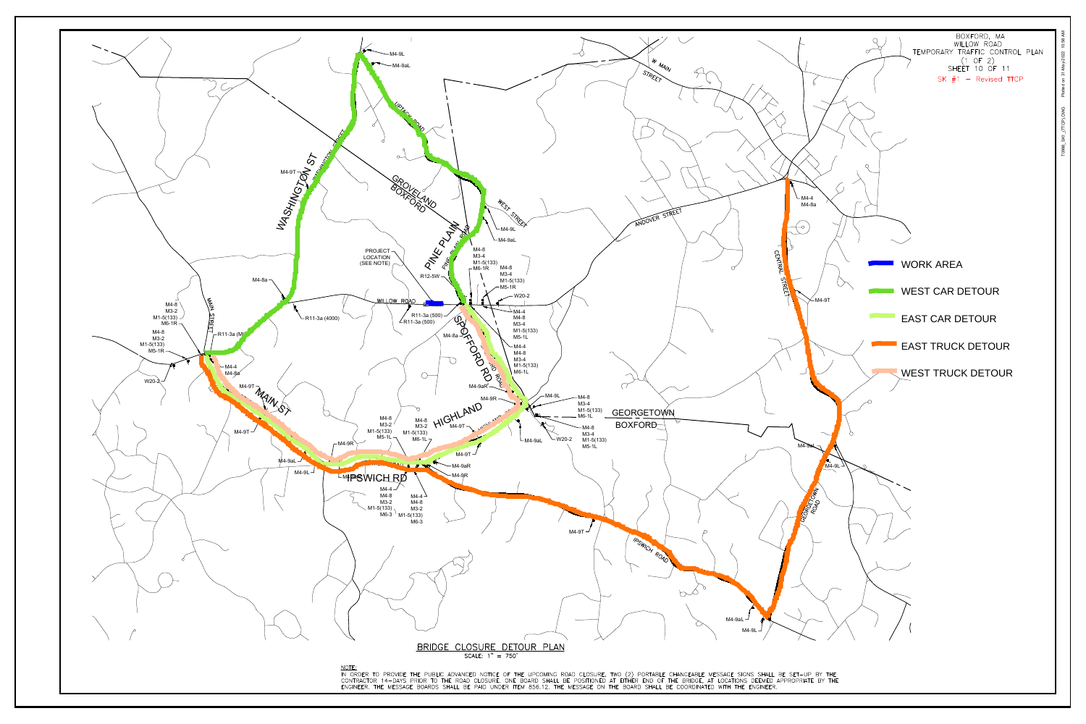